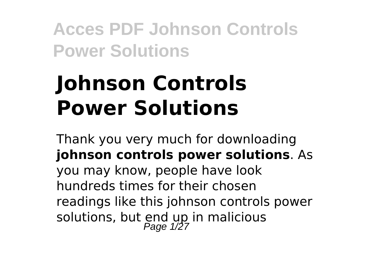# **Johnson Controls Power Solutions**

Thank you very much for downloading **johnson controls power solutions**. As you may know, people have look hundreds times for their chosen readings like this johnson controls power solutions, but end up in malicious<br>Page 1/27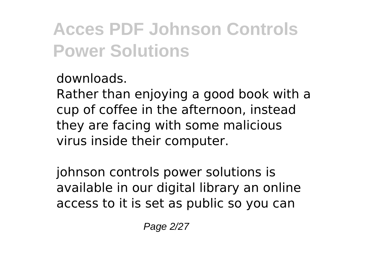downloads.

Rather than enjoying a good book with a cup of coffee in the afternoon, instead they are facing with some malicious virus inside their computer.

johnson controls power solutions is available in our digital library an online access to it is set as public so you can

Page 2/27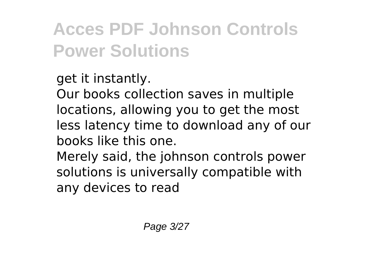get it instantly.

Our books collection saves in multiple locations, allowing you to get the most less latency time to download any of our books like this one.

Merely said, the johnson controls power solutions is universally compatible with any devices to read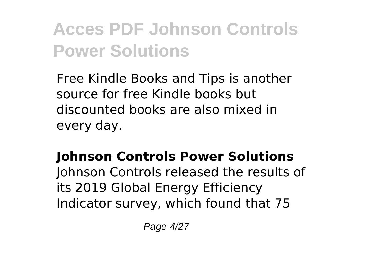Free Kindle Books and Tips is another source for free Kindle books but discounted books are also mixed in every day.

### **Johnson Controls Power Solutions**

Johnson Controls released the results of its 2019 Global Energy Efficiency Indicator survey, which found that 75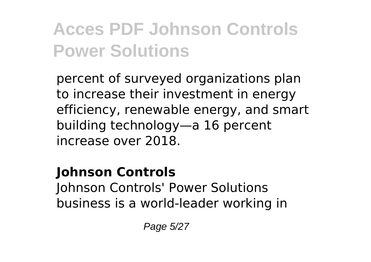percent of surveyed organizations plan to increase their investment in energy efficiency, renewable energy, and smart building technology—a 16 percent increase over 2018.

#### **Johnson Controls**

Johnson Controls' Power Solutions business is a world-leader working in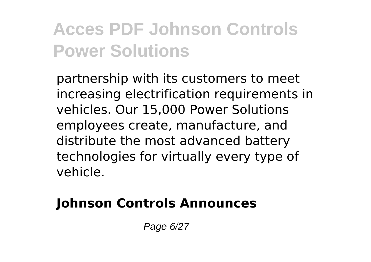partnership with its customers to meet increasing electrification requirements in vehicles. Our 15,000 Power Solutions employees create, manufacture, and distribute the most advanced battery technologies for virtually every type of vehicle.

### **Johnson Controls Announces**

Page 6/27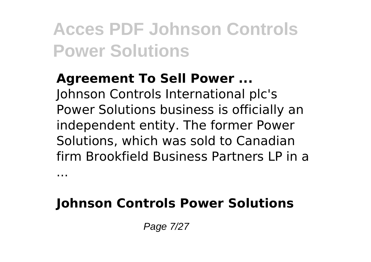#### **Agreement To Sell Power ...** Johnson Controls International plc's

Power Solutions business is officially an independent entity. The former Power Solutions, which was sold to Canadian firm Brookfield Business Partners LP in a

### **Johnson Controls Power Solutions**

Page 7/27

...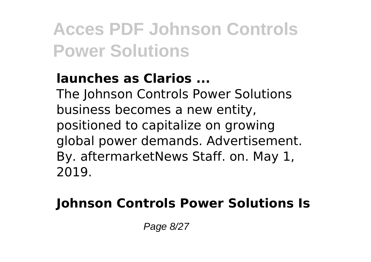### **launches as Clarios ...**

The Johnson Controls Power Solutions business becomes a new entity, positioned to capitalize on growing global power demands. Advertisement. By. aftermarketNews Staff. on. May 1, 2019.

### **Johnson Controls Power Solutions Is**

Page 8/27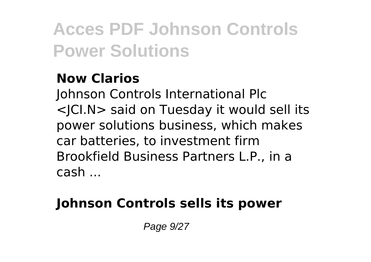### **Now Clarios**

Johnson Controls International Plc <JCI.N> said on Tuesday it would sell its power solutions business, which makes car batteries, to investment firm Brookfield Business Partners L.P., in a cash ...

### **Johnson Controls sells its power**

Page 9/27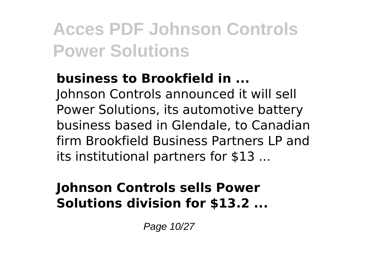### **business to Brookfield in ...**

Johnson Controls announced it will sell Power Solutions, its automotive battery business based in Glendale, to Canadian firm Brookfield Business Partners LP and its institutional partners for \$13 ...

#### **Johnson Controls sells Power Solutions division for \$13.2 ...**

Page 10/27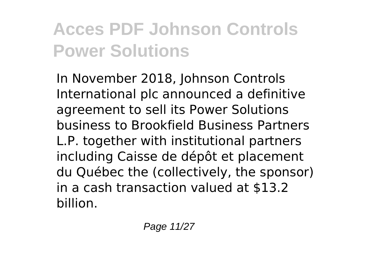In November 2018, Johnson Controls International plc announced a definitive agreement to sell its Power Solutions business to Brookfield Business Partners L.P. together with institutional partners including Caisse de dépôt et placement du Québec the (collectively, the sponsor) in a cash transaction valued at \$13.2 billion.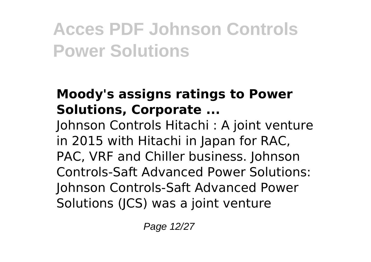### **Moody's assigns ratings to Power Solutions, Corporate ...**

Johnson Controls Hitachi : A joint venture in 2015 with Hitachi in Japan for RAC, PAC, VRF and Chiller business. Johnson Controls-Saft Advanced Power Solutions: Johnson Controls-Saft Advanced Power Solutions (JCS) was a joint venture

Page 12/27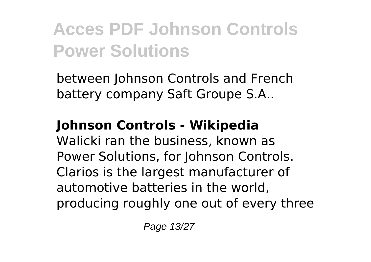between Johnson Controls and French battery company Saft Groupe S.A..

### **Johnson Controls - Wikipedia**

Walicki ran the business, known as Power Solutions, for Johnson Controls. Clarios is the largest manufacturer of automotive batteries in the world, producing roughly one out of every three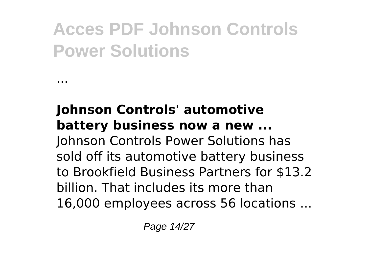...

#### **Johnson Controls' automotive battery business now a new ...** Johnson Controls Power Solutions has sold off its automotive battery business to Brookfield Business Partners for \$13.2 billion. That includes its more than 16,000 employees across 56 locations ...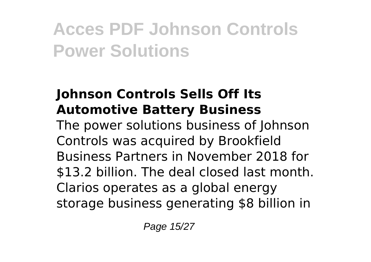### **Johnson Controls Sells Off Its Automotive Battery Business**

The power solutions business of Johnson Controls was acquired by Brookfield Business Partners in November 2018 for \$13.2 billion. The deal closed last month. Clarios operates as a global energy storage business generating \$8 billion in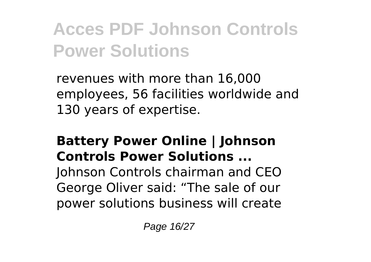revenues with more than 16,000 employees, 56 facilities worldwide and 130 years of expertise.

#### **Battery Power Online | Johnson Controls Power Solutions ...**

Johnson Controls chairman and CEO George Oliver said: "The sale of our power solutions business will create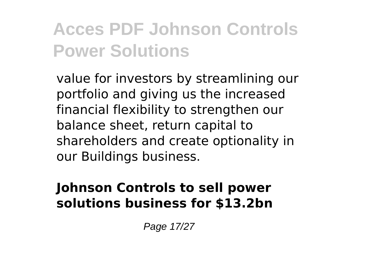value for investors by streamlining our portfolio and giving us the increased financial flexibility to strengthen our balance sheet, return capital to shareholders and create optionality in our Buildings business.

#### **Johnson Controls to sell power solutions business for \$13.2bn**

Page 17/27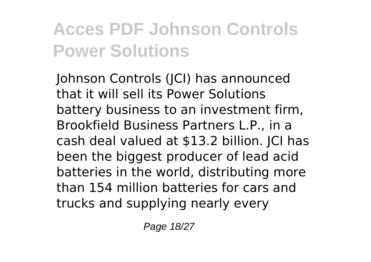Johnson Controls (JCI) has announced that it will sell its Power Solutions battery business to an investment firm, Brookfield Business Partners L.P., in a cash deal valued at \$13.2 billion. JCI has been the biggest producer of lead acid batteries in the world, distributing more than 154 million batteries for cars and trucks and supplying nearly every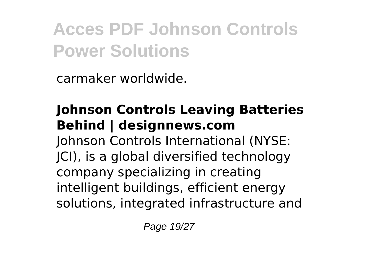carmaker worldwide.

#### **Johnson Controls Leaving Batteries Behind | designnews.com** Johnson Controls International (NYSE: JCI), is a global diversified technology company specializing in creating intelligent buildings, efficient energy solutions, integrated infrastructure and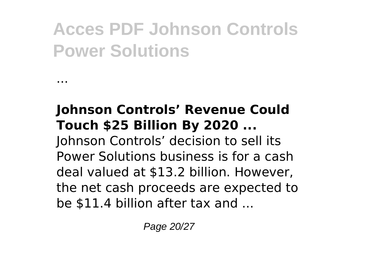...

#### **Johnson Controls' Revenue Could Touch \$25 Billion By 2020 ...** Johnson Controls' decision to sell its Power Solutions business is for a cash deal valued at \$13.2 billion. However, the net cash proceeds are expected to be \$11.4 billion after tax and ...

Page 20/27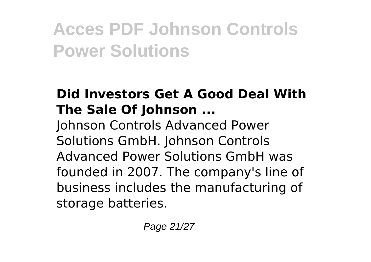### **Did Investors Get A Good Deal With The Sale Of Johnson ...**

Johnson Controls Advanced Power Solutions GmbH. Johnson Controls Advanced Power Solutions GmbH was founded in 2007. The company's line of business includes the manufacturing of storage batteries.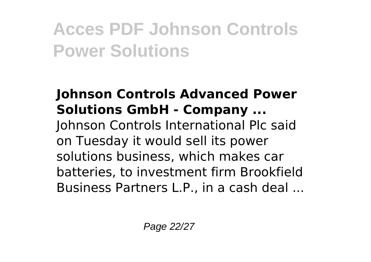#### **Johnson Controls Advanced Power Solutions GmbH - Company ...** Johnson Controls International Plc said on Tuesday it would sell its power solutions business, which makes car batteries, to investment firm Brookfield Business Partners L.P., in a cash deal ...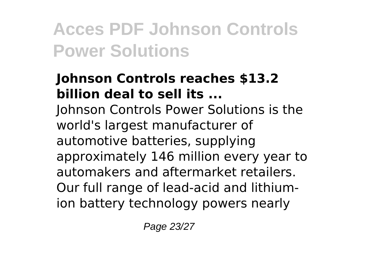#### **Johnson Controls reaches \$13.2 billion deal to sell its ...**

Johnson Controls Power Solutions is the world's largest manufacturer of automotive batteries, supplying approximately 146 million every year to automakers and aftermarket retailers. Our full range of lead-acid and lithiumion battery technology powers nearly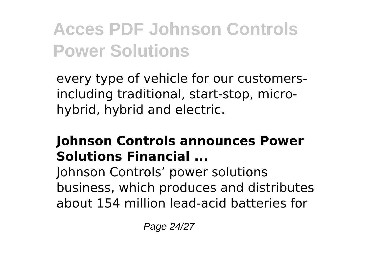every type of vehicle for our customersincluding traditional, start-stop, microhybrid, hybrid and electric.

#### **Johnson Controls announces Power Solutions Financial ...**

Johnson Controls' power solutions business, which produces and distributes about 154 million lead-acid batteries for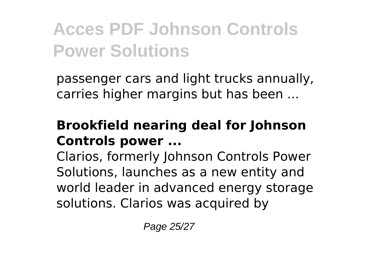passenger cars and light trucks annually, carries higher margins but has been ...

### **Brookfield nearing deal for Johnson Controls power ...**

Clarios, formerly Johnson Controls Power Solutions, launches as a new entity and world leader in advanced energy storage solutions. Clarios was acquired by

Page 25/27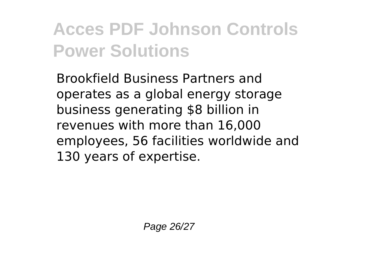Brookfield Business Partners and operates as a global energy storage business generating \$8 billion in revenues with more than 16,000 employees, 56 facilities worldwide and 130 years of expertise.